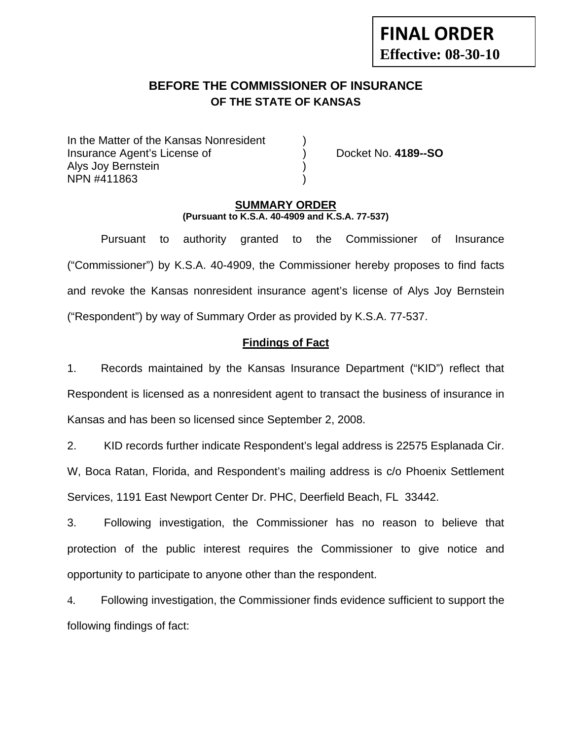# **BEFORE THE COMMISSIONER OF INSURANCE OF THE STATE OF KANSAS**

In the Matter of the Kansas Nonresident Insurance Agent's License of ) Docket No. **4189--SO** Alys Joy Bernstein ) NPN #411863 )

#### **SUMMARY ORDER (Pursuant to K.S.A. 40-4909 and K.S.A. 77-537)**

 Pursuant to authority granted to the Commissioner of Insurance ("Commissioner") by K.S.A. 40-4909, the Commissioner hereby proposes to find facts and revoke the Kansas nonresident insurance agent's license of Alys Joy Bernstein ("Respondent") by way of Summary Order as provided by K.S.A. 77-537.

## **Findings of Fact**

1. Records maintained by the Kansas Insurance Department ("KID") reflect that Respondent is licensed as a nonresident agent to transact the business of insurance in Kansas and has been so licensed since September 2, 2008.

2. KID records further indicate Respondent's legal address is 22575 Esplanada Cir. W, Boca Ratan, Florida, and Respondent's mailing address is c/o Phoenix Settlement Services, 1191 East Newport Center Dr. PHC, Deerfield Beach, FL 33442.

3. Following investigation, the Commissioner has no reason to believe that protection of the public interest requires the Commissioner to give notice and opportunity to participate to anyone other than the respondent.

4. Following investigation, the Commissioner finds evidence sufficient to support the following findings of fact: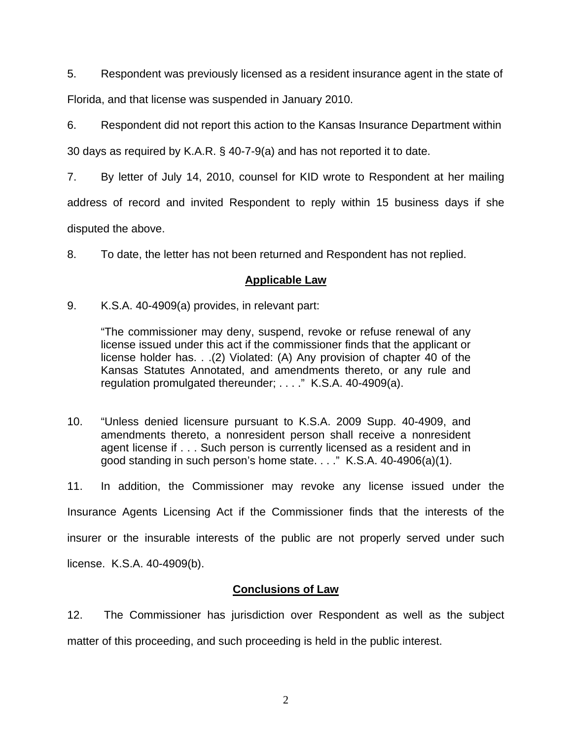5. Respondent was previously licensed as a resident insurance agent in the state of Florida, and that license was suspended in January 2010.

6. Respondent did not report this action to the Kansas Insurance Department within

30 days as required by K.A.R. § 40-7-9(a) and has not reported it to date.

7. By letter of July 14, 2010, counsel for KID wrote to Respondent at her mailing

address of record and invited Respondent to reply within 15 business days if she

disputed the above.

8. To date, the letter has not been returned and Respondent has not replied.

### **Applicable Law**

9. K.S.A. 40-4909(a) provides, in relevant part:

"The commissioner may deny, suspend, revoke or refuse renewal of any license issued under this act if the commissioner finds that the applicant or license holder has. . .(2) Violated: (A) Any provision of chapter 40 of the Kansas Statutes Annotated, and amendments thereto, or any rule and regulation promulgated thereunder; . . . ." K.S.A. 40-4909(a).

10. "Unless denied licensure pursuant to K.S.A. 2009 Supp. 40-4909, and amendments thereto, a nonresident person shall receive a nonresident agent license if . . . Such person is currently licensed as a resident and in good standing in such person's home state. . . ." K.S.A. 40-4906(a)(1).

11. In addition, the Commissioner may revoke any license issued under the Insurance Agents Licensing Act if the Commissioner finds that the interests of the insurer or the insurable interests of the public are not properly served under such license. K.S.A. 40-4909(b).

## **Conclusions of Law**

12. The Commissioner has jurisdiction over Respondent as well as the subject matter of this proceeding, and such proceeding is held in the public interest.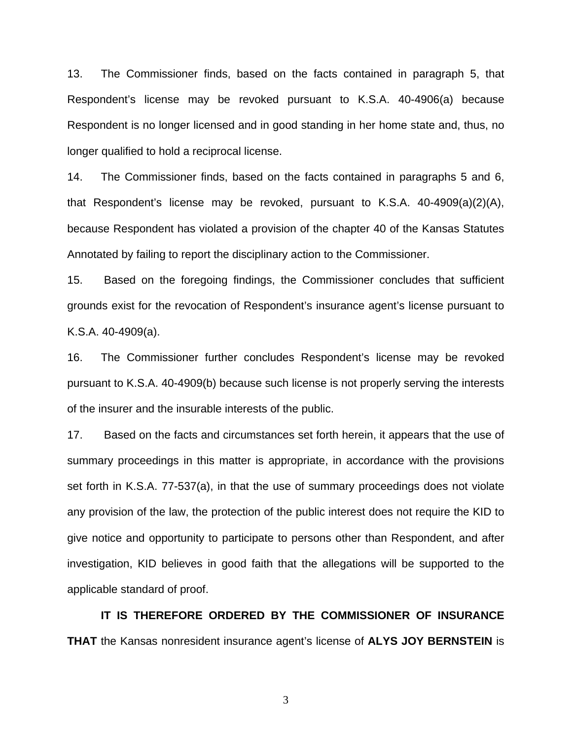13. The Commissioner finds, based on the facts contained in paragraph 5, that Respondent's license may be revoked pursuant to K.S.A. 40-4906(a) because Respondent is no longer licensed and in good standing in her home state and, thus, no longer qualified to hold a reciprocal license.

14. The Commissioner finds, based on the facts contained in paragraphs 5 and 6, that Respondent's license may be revoked, pursuant to K.S.A. 40-4909(a)(2)(A), because Respondent has violated a provision of the chapter 40 of the Kansas Statutes Annotated by failing to report the disciplinary action to the Commissioner.

15. Based on the foregoing findings, the Commissioner concludes that sufficient grounds exist for the revocation of Respondent's insurance agent's license pursuant to K.S.A. 40-4909(a).

16. The Commissioner further concludes Respondent's license may be revoked pursuant to K.S.A. 40-4909(b) because such license is not properly serving the interests of the insurer and the insurable interests of the public.

17. Based on the facts and circumstances set forth herein, it appears that the use of summary proceedings in this matter is appropriate, in accordance with the provisions set forth in K.S.A. 77-537(a), in that the use of summary proceedings does not violate any provision of the law, the protection of the public interest does not require the KID to give notice and opportunity to participate to persons other than Respondent, and after investigation, KID believes in good faith that the allegations will be supported to the applicable standard of proof.

 **IT IS THEREFORE ORDERED BY THE COMMISSIONER OF INSURANCE THAT** the Kansas nonresident insurance agent's license of **ALYS JOY BERNSTEIN** is

3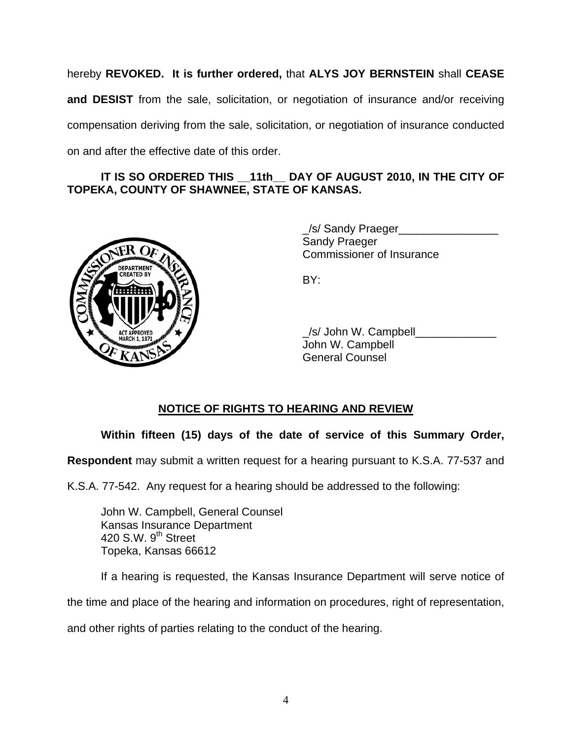hereby **REVOKED. It is further ordered,** that **ALYS JOY BERNSTEIN** shall **CEASE and DESIST** from the sale, solicitation, or negotiation of insurance and/or receiving compensation deriving from the sale, solicitation, or negotiation of insurance conducted on and after the effective date of this order.

### **IT IS SO ORDERED THIS \_\_11th\_\_ DAY OF AUGUST 2010, IN THE CITY OF TOPEKA, COUNTY OF SHAWNEE, STATE OF KANSAS.**



 \_/s/ Sandy Praeger\_\_\_\_\_\_\_\_\_\_\_\_\_\_\_\_ Sandy Praeger Commissioner of Insurance

| ACT APPROVED | /s/ John W. Campbell   |
|--------------|------------------------|
| OF KANSAS    | John W. Campbell       |
|              | <b>General Counsel</b> |

# **NOTICE OF RIGHTS TO HEARING AND REVIEW**

# **Within fifteen (15) days of the date of service of this Summary Order,**

**Respondent** may submit a written request for a hearing pursuant to K.S.A. 77-537 and

K.S.A. 77-542. Any request for a hearing should be addressed to the following:

 John W. Campbell, General Counsel Kansas Insurance Department 420 S.W. 9<sup>th</sup> Street Topeka, Kansas 66612

If a hearing is requested, the Kansas Insurance Department will serve notice of

the time and place of the hearing and information on procedures, right of representation,

and other rights of parties relating to the conduct of the hearing.